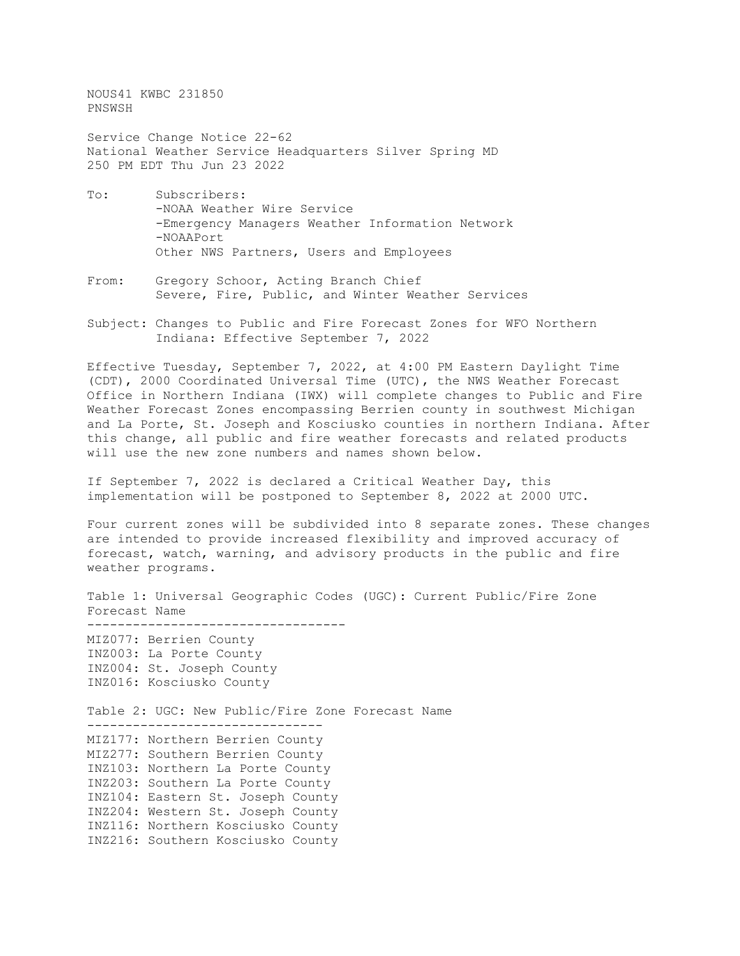NOUS41 KWBC 231850 PNSWSH

Service Change Notice 22-62 National Weather Service Headquarters Silver Spring MD 250 PM EDT Thu Jun 23 2022

- To: Subscribers: -NOAA Weather Wire Service -Emergency Managers Weather Information Network -NOAAPort Other NWS Partners, Users and Employees
- From: Gregory Schoor, Acting Branch Chief Severe, Fire, Public, and Winter Weather Services
- Subject: Changes to Public and Fire Forecast Zones for WFO Northern Indiana: Effective September 7, 2022

Effective Tuesday, September 7, 2022, at 4:00 PM Eastern Daylight Time (CDT), 2000 Coordinated Universal Time (UTC), the NWS Weather Forecast Office in Northern Indiana (IWX) will complete changes to Public and Fire Weather Forecast Zones encompassing Berrien county in southwest Michigan and La Porte, St. Joseph and Kosciusko counties in northern Indiana. After this change, all public and fire weather forecasts and related products will use the new zone numbers and names shown below.

If September 7, 2022 is declared a Critical Weather Day, this implementation will be postponed to September 8, 2022 at 2000 UTC.

Four current zones will be subdivided into 8 separate zones. These changes are intended to provide increased flexibility and improved accuracy of forecast, watch, warning, and advisory products in the public and fire weather programs.

Table 1: Universal Geographic Codes (UGC): Current Public/Fire Zone Forecast Name ---------------------------------- MIZ077: Berrien County INZ003: La Porte County INZ004: St. Joseph County INZ016: Kosciusko County Table 2: UGC: New Public/Fire Zone Forecast Name ------------------------------- MIZ177: Northern Berrien County MIZ277: Southern Berrien County INZ103: Northern La Porte County INZ203: Southern La Porte County INZ104: Eastern St. Joseph County INZ204: Western St. Joseph County INZ116: Northern Kosciusko County INZ216: Southern Kosciusko County